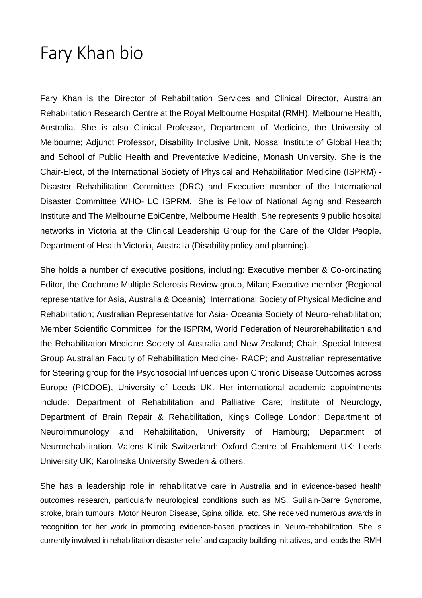## Fary Khan bio

Fary Khan is the Director of Rehabilitation Services and Clinical Director, Australian Rehabilitation Research Centre at the Royal Melbourne Hospital (RMH), Melbourne Health, Australia. She is also Clinical Professor, Department of Medicine, the University of Melbourne; Adjunct Professor, Disability Inclusive Unit, Nossal Institute of Global Health; and School of Public Health and Preventative Medicine, Monash University. She is the Chair-Elect, of the International Society of Physical and Rehabilitation Medicine (ISPRM) - Disaster Rehabilitation Committee (DRC) and Executive member of the International Disaster Committee WHO- LC ISPRM. She is Fellow of National Aging and Research Institute and The Melbourne EpiCentre, Melbourne Health. She represents 9 public hospital networks in Victoria at the Clinical Leadership Group for the Care of the Older People, Department of Health Victoria, Australia (Disability policy and planning).

She holds a number of executive positions, including: Executive member & Co-ordinating Editor, the Cochrane Multiple Sclerosis Review group, Milan; Executive member (Regional representative for Asia, Australia & Oceania), International Society of Physical Medicine and Rehabilitation; Australian Representative for Asia- Oceania Society of Neuro-rehabilitation; Member Scientific Committee for the ISPRM, World Federation of Neurorehabilitation and the Rehabilitation Medicine Society of Australia and New Zealand; Chair, Special Interest Group Australian Faculty of Rehabilitation Medicine- RACP; and Australian representative for Steering group for the Psychosocial Influences upon Chronic Disease Outcomes across Europe (PICDOE), University of Leeds UK. Her international academic appointments include: Department of Rehabilitation and Palliative Care; Institute of Neurology, Department of Brain Repair & Rehabilitation, Kings College London; Department of Neuroimmunology and Rehabilitation, University of Hamburg; Department of Neurorehabilitation, Valens Klinik Switzerland; Oxford Centre of Enablement UK; Leeds University UK; Karolinska University Sweden & others.

She has a leadership role in rehabilitative care in Australia and in evidence-based health outcomes research, particularly neurological conditions such as MS, Guillain-Barre Syndrome, stroke, brain tumours, Motor Neuron Disease, Spina bifida, etc. She received numerous awards in recognition for her work in promoting evidence-based practices in Neuro-rehabilitation. She is currently involved in rehabilitation disaster relief and capacity building initiatives, and leads the 'RMH